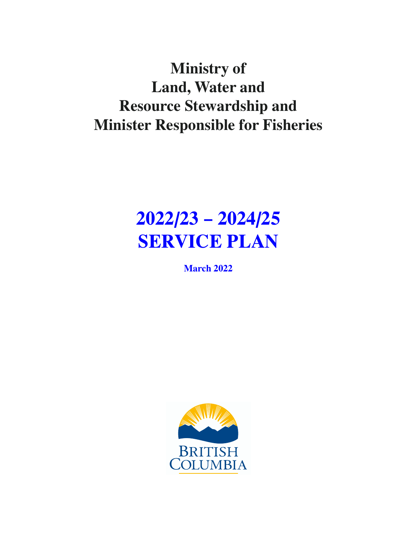# **Ministry of Land, Water and Resource Stewardship and Minister Responsible for Fisheries**

# **2022/23 – 2024/25 SERVICE PLAN**

**March 2022**

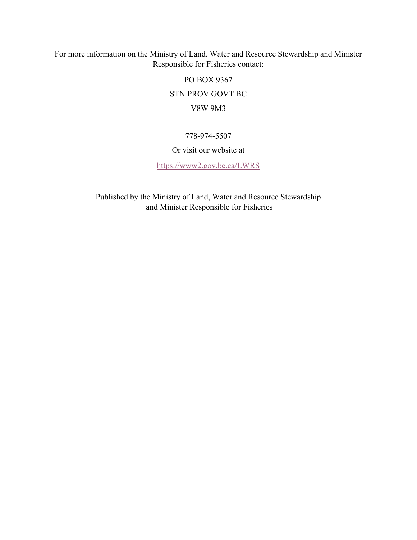For more information on the Ministry of Land. Water and Resource Stewardship and Minister Responsible for Fisheries contact:

PO BOX 9367

STN PROV GOVT BC

#### V8W 9M3

#### 778-974-5507

#### Or visit our website at

<https://www2.gov.bc.ca/LWRS>

Published by the Ministry of Land, Water and Resource Stewardship and Minister Responsible for Fisheries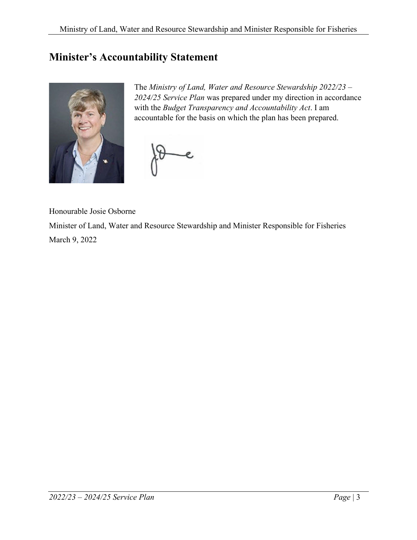# <span id="page-2-0"></span>**Minister's Accountability Statement**



The *Ministry of Land, Water and Resource Stewardship 2022/23 – 2024/25 Service Plan* was prepared under my direction in accordance with the *Budget Transparency and Accountability Act*. I am accountable for the basis on which the plan has been prepared.

 $\epsilon$ 

Honourable Josie Osborne

Minister of Land, Water and Resource Stewardship and Minister Responsible for Fisheries March 9, 2022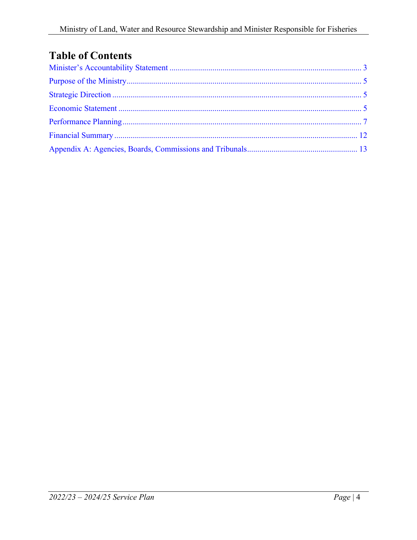# **Table of Contents**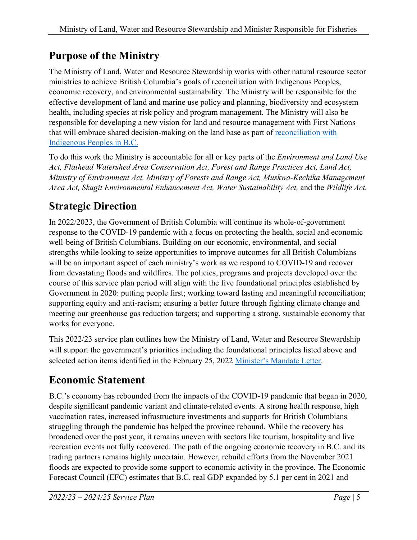# <span id="page-4-0"></span>**Purpose of the Ministry**

The Ministry of Land, Water and Resource Stewardship works with other natural resource sector ministries to achieve British Columbia's goals of reconciliation with Indigenous Peoples, economic recovery, and environmental sustainability. The Ministry will be responsible for the effective development of land and marine use policy and planning, biodiversity and ecosystem health, including species at risk policy and program management. The Ministry will also be responsible for developing a new vision for land and resource management with First Nations that will embrace shared decision-making on the land base as part of [reconciliation with](https://www2.gov.bc.ca/gov/content/environment/natural-resource-stewardship/consulting-with-first-nations/first-nations-negotiations/reconciliation-other-agreements) [Indigenous Peoples in B.C.](https://www2.gov.bc.ca/gov/content/environment/natural-resource-stewardship/consulting-with-first-nations/first-nations-negotiations/reconciliation-other-agreements)

To do this work the Ministry is accountable for all or key parts of the *Environment and Land Use Act, Flathead Watershed Area Conservation Act, Forest and Range Practices Act, Land Act, Ministry of Environment Act, Ministry of Forests and Range Act, Muskwa-Kechika Management Area Act, Skagit Environmental Enhancement Act, Water Sustainability Act,* and the *Wildlife Act.*

# <span id="page-4-1"></span>**Strategic Direction**

In 2022/2023, the Government of British Columbia will continue its whole-of-government response to the COVID-19 pandemic with a focus on protecting the health, social and economic well-being of British Columbians. Building on our economic, environmental, and social strengths while looking to seize opportunities to improve outcomes for all British Columbians will be an important aspect of each ministry's work as we respond to COVID-19 and recover from devastating floods and wildfires. The policies, programs and projects developed over the course of this service plan period will align with the five foundational principles established by Government in 2020: putting people first; working toward lasting and meaningful reconciliation; supporting equity and anti-racism; ensuring a better future through fighting climate change and meeting our greenhouse gas reduction targets; and supporting a strong, sustainable economy that works for everyone.

This 2022/23 service plan outlines how the Ministry of Land, Water and Resource Stewardship will support the government's priorities including the foundational principles listed above and selected action items identified in the February 25, 2022 [Minister's Mandate Letter.](https://www2.gov.bc.ca/assets/gov/government/ministries-organizations/premier-cabinet-mlas/minister-letter/lwrs-osborne-mandate_2022_-_secured.pdf)

# <span id="page-4-2"></span>**Economic Statement**

B.C.'s economy has rebounded from the impacts of the COVID-19 pandemic that began in 2020, despite significant pandemic variant and climate-related events. A strong health response, high vaccination rates, increased infrastructure investments and supports for British Columbians struggling through the pandemic has helped the province rebound. While the recovery has broadened over the past year, it remains uneven with sectors like tourism, hospitality and live recreation events not fully recovered. The path of the ongoing economic recovery in B.C. and its trading partners remains highly uncertain. However, rebuild efforts from the November 2021 floods are expected to provide some support to economic activity in the province. The Economic Forecast Council (EFC) estimates that B.C. real GDP expanded by 5.1 per cent in 2021 and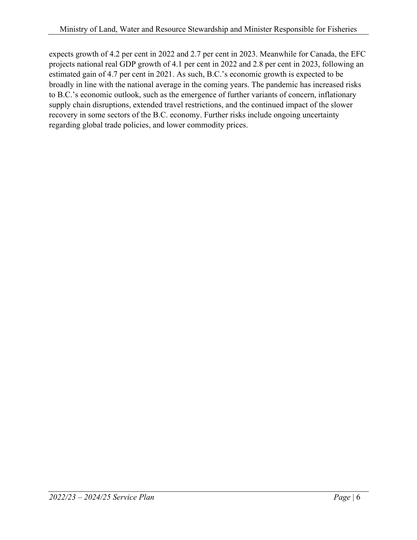expects growth of 4.2 per cent in 2022 and 2.7 per cent in 2023. Meanwhile for Canada, the EFC projects national real GDP growth of 4.1 per cent in 2022 and 2.8 per cent in 2023, following an estimated gain of 4.7 per cent in 2021. As such, B.C.'s economic growth is expected to be broadly in line with the national average in the coming years. The pandemic has increased risks to B.C.'s economic outlook, such as the emergence of further variants of concern, inflationary supply chain disruptions, extended travel restrictions, and the continued impact of the slower recovery in some sectors of the B.C. economy. Further risks include ongoing uncertainty regarding global trade policies, and lower commodity prices.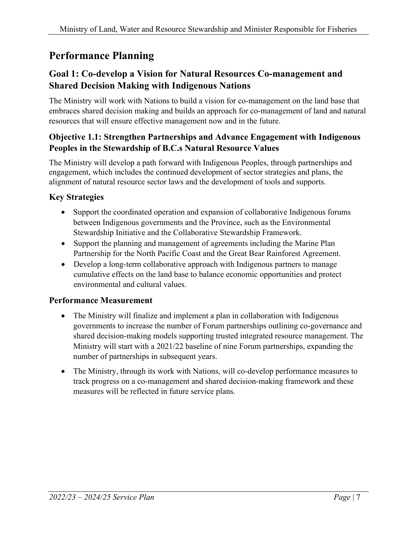# <span id="page-6-0"></span>**Performance Planning**

### **Goal 1: Co-develop a Vision for Natural Resources Co-management and Shared Decision Making with Indigenous Nations**

The Ministry will work with Nations to build a vision for co-management on the land base that embraces shared decision making and builds an approach for co-management of land and natural resources that will ensure effective management now and in the future.

#### **Objective 1.1: Strengthen Partnerships and Advance Engagement with Indigenous Peoples in the Stewardship of B.C.s Natural Resource Values**

The Ministry will develop a path forward with Indigenous Peoples, through partnerships and engagement, which includes the continued development of sector strategies and plans, the alignment of natural resource sector laws and the development of tools and supports.

#### **Key Strategies**

- Support the coordinated operation and expansion of collaborative Indigenous forums between Indigenous governments and the Province, such as the Environmental Stewardship Initiative and the Collaborative Stewardship Framework.
- Support the planning and management of agreements including the Marine Plan Partnership for the North Pacific Coast and the Great Bear Rainforest Agreement.
- Develop a long-term collaborative approach with Indigenous partners to manage cumulative effects on the land base to balance economic opportunities and protect environmental and cultural values.

#### **Performance Measurement**

- The Ministry will finalize and implement a plan in collaboration with Indigenous governments to increase the number of Forum partnerships outlining co-governance and shared decision-making models supporting trusted integrated resource management. The Ministry will start with a 2021/22 baseline of nine Forum partnerships, expanding the number of partnerships in subsequent years.
- The Ministry, through its work with Nations, will co-develop performance measures to track progress on a co-management and shared decision-making framework and these measures will be reflected in future service plans.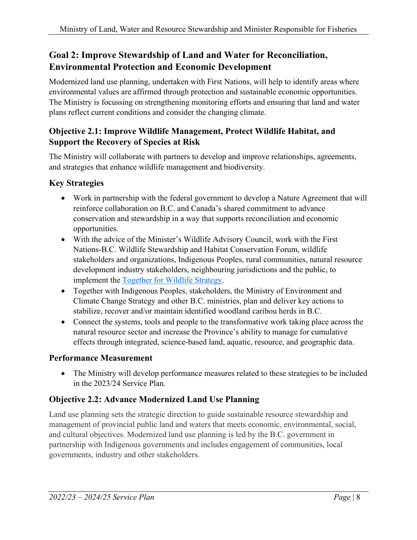### **Goal 2: Improve Stewardship of Land and Water for Reconciliation, Environmental Protection and Economic Development**

Modernized land use planning, undertaken with First Nations, will help to identify areas where environmental values are affirmed through protection and sustainable economic opportunities. The Ministry is focussing on strengthening monitoring efforts and ensuring that land and water plans reflect current conditions and consider the changing climate.

#### **Objective 2.1: Improve Wildlife Management, Protect Wildlife Habitat, and Support the Recovery of Species at Risk**

The Ministry will collaborate with partners to develop and improve relationships, agreements, and strategies that enhance wildlife management and biodiversity.

#### **Key Strategies**

- Work in partnership with the federal government to develop a Nature Agreement that will reinforce collaboration on B.C. and Canada's shared commitment to advance conservation and stewardship in a way that supports reconciliation and economic opportunities.
- With the advice of the Minister's Wildlife Advisory Council, work with the First Nations-B.C. Wildlife Stewardship and Habitat Conservation Forum, wildlife stakeholders and organizations, Indigenous Peoples, rural communities, natural resource development industry stakeholders, neighbouring jurisdictions and the public, to implement the [Together for Wildlife Strategy.](https://www2.gov.bc.ca/assets/gov/environment/plants-animals-and-ecosystems/wildlife-wildlife-habitat/together-for-wildlife/together-for-wildlife-strategy.pdf)
- Together with Indigenous Peoples, stakeholders, the Ministry of Environment and Climate Change Strategy and other B.C. ministries, plan and deliver key actions to stabilize, recover and/or maintain identified woodland caribou herds in B.C.
- Connect the systems, tools and people to the transformative work taking place across the natural resource sector and increase the Province's ability to manage for cumulative effects through integrated, science-based land, aquatic, resource, and geographic data.

#### **Performance Measurement**

• The Ministry will develop performance measures related to these strategies to be included in the 2023/24 Service Plan.

#### **Objective 2.2: Advance Modernized Land Use Planning**

Land use planning sets the strategic direction to guide sustainable resource stewardship and management of provincial public land and waters that meets economic, environmental, social, and cultural objectives. Modernized land use planning is led by the B.C. government in partnership with Indigenous governments and includes engagement of communities, local governments, industry and other stakeholders.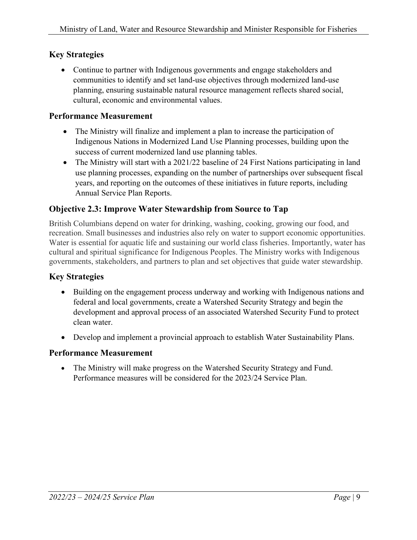#### **Key Strategies**

• Continue to partner with Indigenous governments and engage stakeholders and communities to identify and set land-use objectives through modernized land-use planning, ensuring sustainable natural resource management reflects shared social, cultural, economic and environmental values.

#### **Performance Measurement**

- The Ministry will finalize and implement a plan to increase the participation of Indigenous Nations in Modernized Land Use Planning processes, building upon the success of current modernized land use planning tables.
- The Ministry will start with a 2021/22 baseline of 24 First Nations participating in land use planning processes, expanding on the number of partnerships over subsequent fiscal years, and reporting on the outcomes of these initiatives in future reports, including Annual Service Plan Reports.

#### **Objective 2.3: Improve Water Stewardship from Source to Tap**

British Columbians depend on water for drinking, washing, cooking, growing our food, and recreation. Small businesses and industries also rely on water to support economic opportunities. Water is essential for aquatic life and sustaining our world class fisheries. Importantly, water has cultural and spiritual significance for Indigenous Peoples. The Ministry works with Indigenous governments, stakeholders, and partners to plan and set objectives that guide water stewardship.

#### **Key Strategies**

- Building on the engagement process underway and working with Indigenous nations and federal and local governments, create a Watershed Security Strategy and begin the development and approval process of an associated Watershed Security Fund to protect clean water.
- Develop and implement a provincial approach to establish Water Sustainability Plans.

#### **Performance Measurement**

• The Ministry will make progress on the Watershed Security Strategy and Fund. Performance measures will be considered for the 2023/24 Service Plan.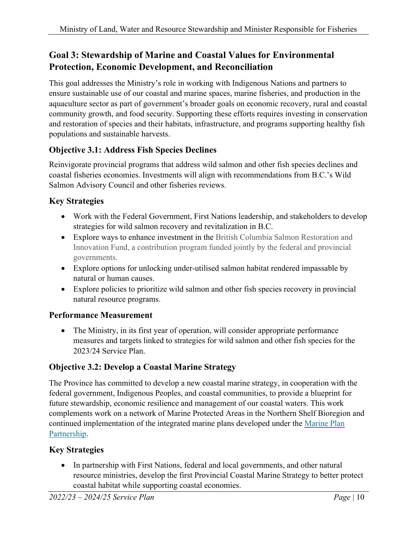# **Goal 3: Stewardship of Marine and Coastal Values for Environmental Protection, Economic Development, and Reconciliation**

This goal addresses the Ministry's role in working with Indigenous Nations and partners to ensure sustainable use of our coastal and marine spaces, marine fisheries, and production in the aquaculture sector as part of government's broader goals on economic recovery, rural and coastal community growth, and food security. Supporting these efforts requires investing in conservation and restoration of species and their habitats, infrastructure, and programs supporting healthy fish populations and sustainable harvests.

### **Objective 3.1: Address Fish Species Declines**

Reinvigorate provincial programs that address wild salmon and other fish species declines and coastal fisheries economies. Investments will align with recommendations from B.C.'s Wild Salmon Advisory Council and other fisheries reviews.

### **Key Strategies**

- Work with the Federal Government, First Nations leadership, and stakeholders to develop strategies for wild salmon recovery and revitalization in B.C.
- Explore ways to enhance investment in the British Columbia Salmon Restoration and Innovation Fund, a contribution program funded jointly by the federal and provincial governments.
- Explore options for unlocking under-utilised salmon habitat rendered impassable by natural or human causes.
- Explore policies to prioritize wild salmon and other fish species recovery in provincial natural resource programs.

### **Performance Measurement**

• The Ministry, in its first year of operation, will consider appropriate performance measures and targets linked to strategies for wild salmon and other fish species for the 2023/24 Service Plan.

# **Objective 3.2: Develop a Coastal Marine Strategy**

The Province has committed to develop a new coastal marine strategy, in cooperation with the federal government, Indigenous Peoples, and coastal communities, to provide a blueprint for future stewardship, economic resilience and management of our coastal waters. This work complements work on a network of Marine Protected Areas in the Northern Shelf Bioregion and continued implementation of the integrated marine plans developed under the Marine Plan [Partnership.](http://mappocean.org/)

### **Key Strategies**

• In partnership with First Nations, federal and local governments, and other natural resource ministries, develop the first Provincial Coastal Marine Strategy to better protect coastal habitat while supporting coastal economies.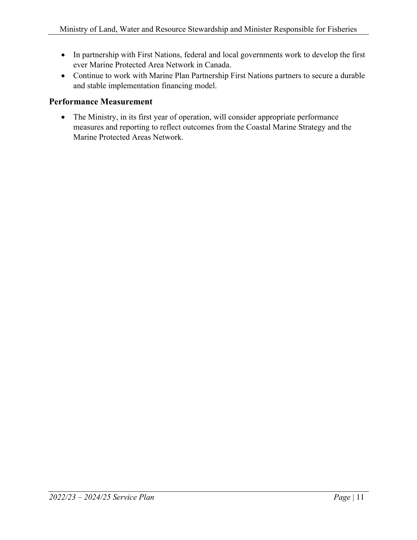- In partnership with First Nations, federal and local governments work to develop the first ever Marine Protected Area Network in Canada.
- Continue to work with Marine Plan Partnership First Nations partners to secure a durable and stable implementation financing model.

#### **Performance Measurement**

• The Ministry, in its first year of operation, will consider appropriate performance measures and reporting to reflect outcomes from the Coastal Marine Strategy and the Marine Protected Areas Network.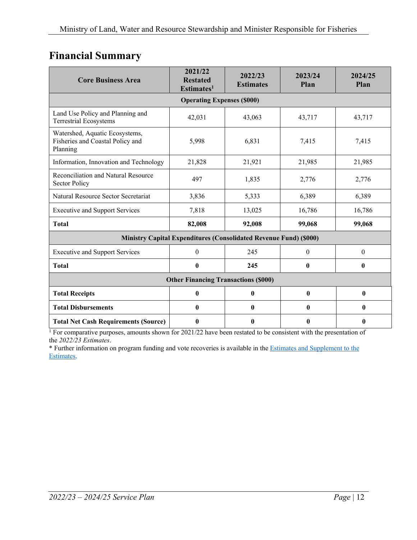# <span id="page-11-0"></span>**Financial Summary**

| <b>Core Business Area</b>                                                      | 2021/22<br><b>Restated</b><br>Estimates <sup>1</sup> | 2022/23<br><b>Estimates</b> | 2023/24<br>Plan  | 2024/25<br>Plan |  |  |
|--------------------------------------------------------------------------------|------------------------------------------------------|-----------------------------|------------------|-----------------|--|--|
| <b>Operating Expenses (\$000)</b>                                              |                                                      |                             |                  |                 |  |  |
| Land Use Policy and Planning and<br><b>Terrestrial Ecosystems</b>              | 42,031                                               | 43,063                      | 43,717           | 43,717          |  |  |
| Watershed, Aquatic Ecosystems,<br>Fisheries and Coastal Policy and<br>Planning | 5,998                                                | 6,831                       | 7,415            | 7,415           |  |  |
| Information, Innovation and Technology                                         | 21,828                                               | 21,921                      | 21,985           | 21,985          |  |  |
| Reconciliation and Natural Resource<br><b>Sector Policy</b>                    | 497                                                  | 1,835                       | 2,776            | 2,776           |  |  |
| Natural Resource Sector Secretariat                                            | 3,836                                                | 5,333                       | 6,389            | 6,389           |  |  |
| <b>Executive and Support Services</b>                                          | 7,818                                                | 13,025                      | 16,786           | 16,786          |  |  |
| <b>Total</b>                                                                   | 82,008                                               | 92,008                      | 99,068           | 99,068          |  |  |
| <b>Ministry Capital Expenditures (Consolidated Revenue Fund) (\$000)</b>       |                                                      |                             |                  |                 |  |  |
| <b>Executive and Support Services</b>                                          | $\boldsymbol{0}$                                     | 245                         | $\theta$         | $\theta$        |  |  |
| <b>Total</b>                                                                   | $\bf{0}$                                             | 245                         | $\boldsymbol{0}$ | $\bf{0}$        |  |  |
| <b>Other Financing Transactions (\$000)</b>                                    |                                                      |                             |                  |                 |  |  |
| <b>Total Receipts</b>                                                          | $\bf{0}$                                             | $\mathbf{0}$                | $\mathbf{0}$     | $\mathbf{0}$    |  |  |
| <b>Total Disbursements</b>                                                     | 0                                                    | $\mathbf{0}$                | $\mathbf{0}$     | $\mathbf{0}$    |  |  |
| <b>Total Net Cash Requirements (Source)</b>                                    | 0                                                    | $\mathbf{0}$                | $\mathbf{0}$     | $\mathbf{0}$    |  |  |

<sup>1</sup> For comparative purposes, amounts shown for 2021/22 have been restated to be consistent with the presentation of the *2022/23 Estimates*.

\* Further information on program funding and vote recoveries is available in th[e Estimates and Supplement to the](http://www.bcbudget.gov.bc.ca/)  [Estimates.](http://www.bcbudget.gov.bc.ca/)